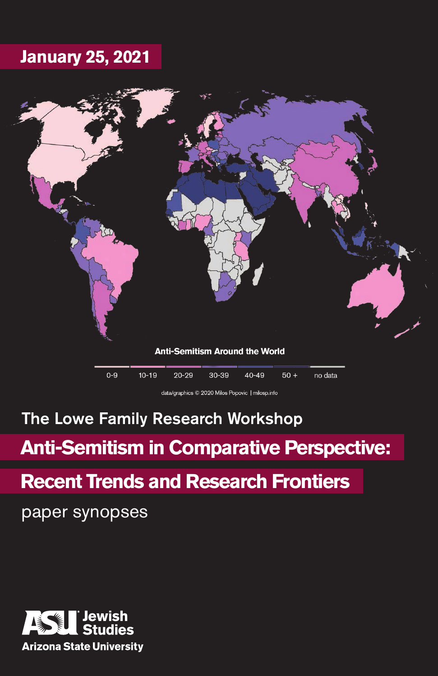# **January 25, 2021**



data/graphics © 2020 Milos Popovic | milosp.info

# The Lowe Family Research Workshop

# **Anti-Semitism in Comparative Perspective:**

# **Recent Trends and Research Frontiers**

paper synopses

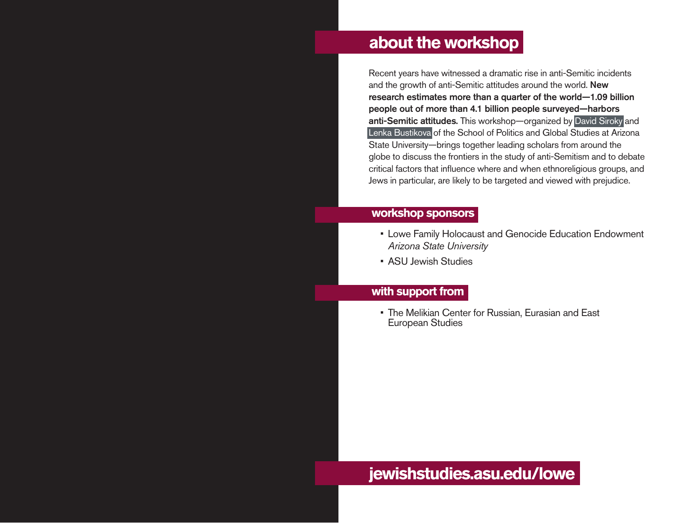# **about the workshop**

Recent years have witnessed a dramatic rise in anti-Semitic incidents and the growth of anti-Semitic attitudes around the world. New research estimates more than a quarter of the world—1.09 billion people out of more than 4.1 billion people surveyed—harbors anti-Semitic attitudes. This workshop—organized by David Siroky and Lenka Bustikova of the School of Politics and Global Studies at Arizona State University—brings together leading scholars from around the globe to discuss the frontiers in the study of anti-Semitism and to debate critical factors that influence where and when ethnoreligious groups, and Jews in particular, are likely to be targeted and viewed with prejudice.

## **workshop sponsors**

- Lowe Family Holocaust and Genocide Education Endowment *Arizona State University*
- ASU Jewish Studies

## **with support from**

• The Melikian Center for Russian, Eurasian and East European Studies

# **jewishstudies.asu.edu/lowe**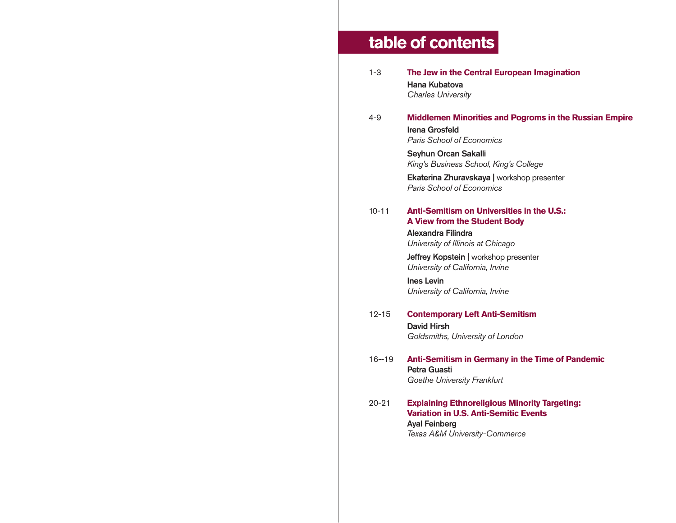# **table of contents**

- 1-3 **The Jew in the Central European Imagination** Hana Kubatova *Charles University*
- 4-9 **Middlemen Minorities and Pogroms in the Russian Empire** Irena Grosfeld *Paris School of Economics*

Seyhun Orcan Sakalli *King's Business School, King's College*

Ekaterina Zhuravskaya | workshop presenter *Paris School of Economics*

#### 10-11 **Anti-Semitism on Universities in the U.S.: A View from the Student Body**

Alexandra Filindra *University of Illinois at Chicago*

Jeffrey Kopstein | workshop presenter *University of California, Irvine*

Ines Levin *University of California, Irvine*

- 12-15 **Contemporary Left Anti-Semitism**  David Hirsh *Goldsmiths, University of London*
- 16--19 **Anti-Semitism in Germany in the Time of Pandemic**  Petra Guasti *Goethe University Frankfurt*
- 20-21 **Explaining Ethnoreligious Minority Targeting: Variation in U.S. Anti-Semitic Events** Ayal Feinberg *Texas A&M University-Commerce*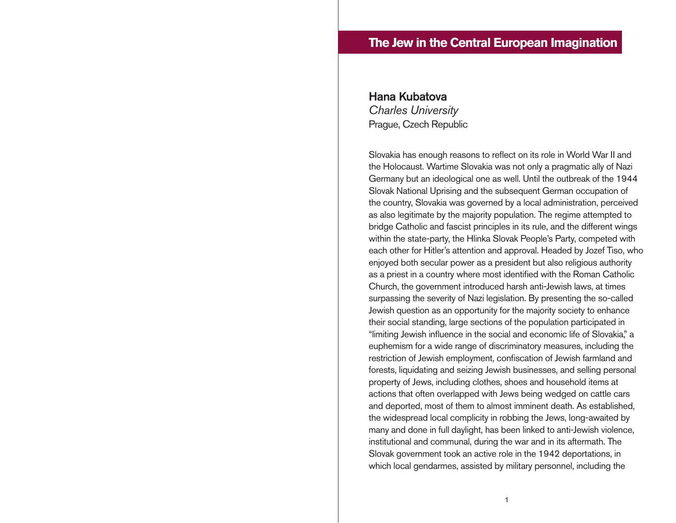# **The Jew in the Central European Imagination**

# Hana Kubatova *Charles University* Prague, Czech Republic

Slovakia has enough reasons to reflect on its role in World War II and the Holocaust. Wartime Slovakia was not only a pragmatic ally of Nazi Germany but an ideological one as well. Until the outbreak of the 1944 Slovak National Uprising and the subsequent German occupation of the country, Slovakia was governed by a local administration, perceived as also legitimate by the majority population. The regime attempted to bridge Catholic and fascist principles in its rule, and the different wings within the state-party, the Hlinka Slovak People's Party, competed with each other for Hitler's attention and approval. Headed by Jozef Tiso, who enjoyed both secular power as a president but also religious authority as a priest in a country where most identified with the Roman Catholic Church, the government introduced harsh anti-Jewish laws, at times surpassing the severity of Nazi legislation. By presenting the so-called Jewish question as an opportunity for the majority society to enhance their social standing, large sections of the population participated in "limiting Jewish influence in the social and economic life of Slovakia," a euphemism for a wide range of discriminatory measures, including the restriction of Jewish employment, confiscation of Jewish farmland and forests, liquidating and seizing Jewish businesses, and selling personal property of Jews, including clothes, shoes and household items at actions that often overlapped with Jews being wedged on cattle cars and deported, most of them to almost imminent death. As established, the widespread local complicity in robbing the Jews, long-awaited by many and done in full daylight, has been linked to anti-Jewish violence, institutional and communal, during the war and in its aftermath. The Slovak government took an active role in the 1942 deportations, in which local gendarmes, assisted by military personnel, including the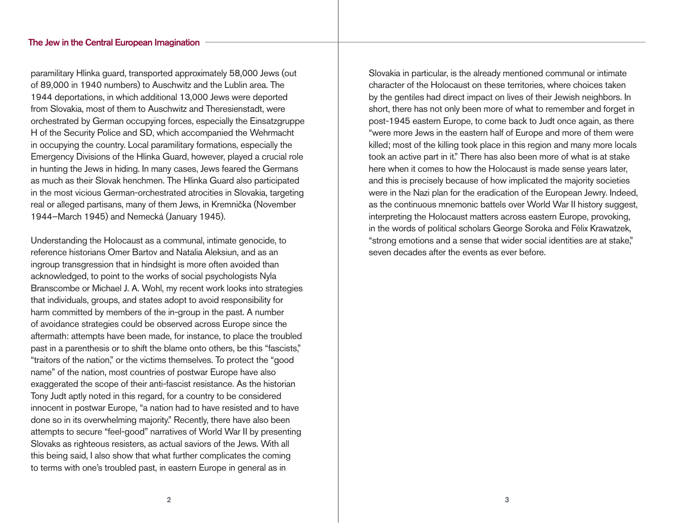#### The Jew in the Central European Imagination

paramilitary Hlinka guard, transported approximately 58,000 Jews (out of 89,000 in 1940 numbers) to Auschwitz and the Lublin area. The 1944 deportations, in which additional 13,000 Jews were deported from Slovakia, most of them to Auschwitz and Theresienstadt, were orchestrated by German occupying forces, especially the Einsatzgruppe H of the Security Police and SD, which accompanied the Wehrmacht in occupying the country. Local paramilitary formations, especially the Emergency Divisions of the Hlinka Guard, however, played a crucial role in hunting the Jews in hiding. In many cases, Jews feared the Germans as much as their Slovak henchmen. The Hlinka Guard also participated in the most vicious German-orchestrated atrocities in Slovakia, targeting real or alleged partisans, many of them Jews, in Kremnička (November 1944–March 1945) and Nemecká (January 1945).

Understanding the Holocaust as a communal, intimate genocide, to reference historians Omer Bartov and Natalia Aleksiun, and as an ingroup transgression that in hindsight is more often avoided than acknowledged, to point to the works of social psychologists Nyla Branscombe or Michael J. A. Wohl, my recent work looks into strategies that individuals, groups, and states adopt to avoid responsibility for harm committed by members of the in-group in the past. A number of avoidance strategies could be observed across Europe since the aftermath: attempts have been made, for instance, to place the troubled past in a parenthesis or to shift the blame onto others, be this "fascists," "traitors of the nation," or the victims themselves. To protect the "good name" of the nation, most countries of postwar Europe have also exaggerated the scope of their anti-fascist resistance. As the historian Tony Judt aptly noted in this regard, for a country to be considered innocent in postwar Europe, "a nation had to have resisted and to have done so in its overwhelming majority." Recently, there have also been attempts to secure "feel-good" narratives of World War II by presenting Slovaks as righteous resisters, as actual saviors of the Jews. With all this being said, I also show that what further complicates the coming to terms with one's troubled past, in eastern Europe in general as in

Slovakia in particular, is the already mentioned communal or intimate character of the Holocaust on these territories, where choices taken by the gentiles had direct impact on lives of their Jewish neighbors. In short, there has not only been more of what to remember and forget in post-1945 eastern Europe, to come back to Judt once again, as there "were more Jews in the eastern half of Europe and more of them were killed; most of the killing took place in this region and many more locals took an active part in it." There has also been more of what is at stake here when it comes to how the Holocaust is made sense years later, and this is precisely because of how implicated the majority societies were in the Nazi plan for the eradication of the European Jewry. Indeed, as the continuous mnemonic battels over World War II history suggest, interpreting the Holocaust matters across eastern Europe, provoking, in the words of political scholars George Soroka and Félix Krawatzek, "strong emotions and a sense that wider social identities are at stake," seven decades after the events as ever before.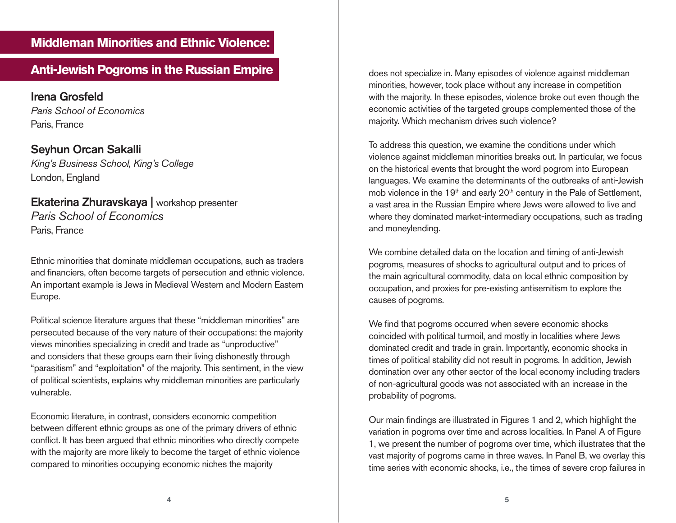# **Middleman Minorities and Ethnic Violence:**

# **Anti-Jewish Pogroms in the Russian Empire does not specialize in. Many episodes of violence against middleman**

Irena Grosfeld *Paris School of Economics* Paris, France

Seyhun Orcan Sakalli *King's Business School, King's College* London, England

## Ekaterina Zhuravskaya | workshop presenter *Paris School of Economics* Paris, France

Ethnic minorities that dominate middleman occupations, such as traders and financiers, often become targets of persecution and ethnic violence. An important example is Jews in Medieval Western and Modern Eastern Europe.

Political science literature argues that these "middleman minorities" are persecuted because of the very nature of their occupations: the majority views minorities specializing in credit and trade as "unproductive" and considers that these groups earn their living dishonestly through "parasitism" and "exploitation" of the majority. This sentiment, in the view of political scientists, explains why middleman minorities are particularly vulnerable.

Economic literature, in contrast, considers economic competition between different ethnic groups as one of the primary drivers of ethnic conflict. It has been argued that ethnic minorities who directly compete with the majority are more likely to become the target of ethnic violence compared to minorities occupying economic niches the majority

minorities, however, took place without any increase in competition with the majority. In these episodes, violence broke out even though the economic activities of the targeted groups complemented those of the majority. Which mechanism drives such violence?

To address this question, we examine the conditions under which violence against middleman minorities breaks out. In particular, we focus on the historical events that brought the word pogrom into European languages. We examine the determinants of the outbreaks of anti-Jewish mob violence in the 19<sup>th</sup> and early 20<sup>th</sup> century in the Pale of Settlement, a vast area in the Russian Empire where Jews were allowed to live and where they dominated market-intermediary occupations, such as trading and moneylending.

We combine detailed data on the location and timing of anti-Jewish pogroms, measures of shocks to agricultural output and to prices of the main agricultural commodity, data on local ethnic composition by occupation, and proxies for pre-existing antisemitism to explore the causes of pogroms.

We find that pogroms occurred when severe economic shocks coincided with political turmoil, and mostly in localities where Jews dominated credit and trade in grain. Importantly, economic shocks in times of political stability did not result in pogroms. In addition, Jewish domination over any other sector of the local economy including traders of non-agricultural goods was not associated with an increase in the probability of pogroms.

Our main findings are illustrated in Figures 1 and 2, which highlight the variation in pogroms over time and across localities. In Panel A of Figure 1, we present the number of pogroms over time, which illustrates that the vast majority of pogroms came in three waves. In Panel B, we overlay this time series with economic shocks, i.e., the times of severe crop failures in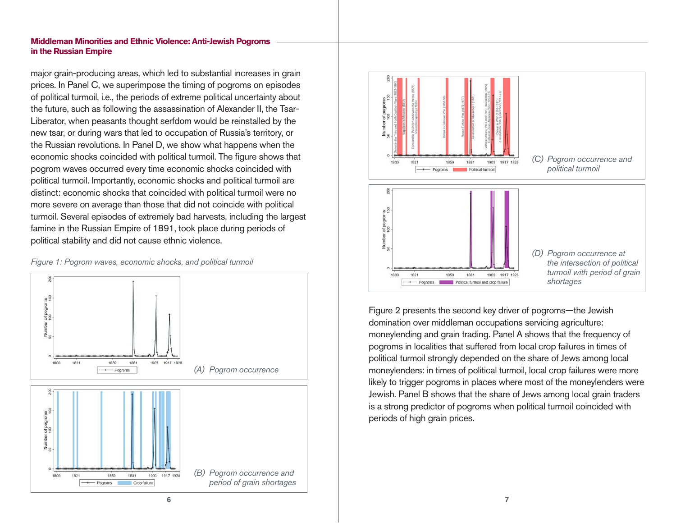#### **Middleman Minorities and Ethnic Violence: Anti-Jewish Pogroms in the Russian Empire**

major grain-producing areas, which led to substantial increases in grain prices. In Panel C, we superimpose the timing of pogroms on episodes of political turmoil, i.e., the periods of extreme political uncertainty about the future, such as following the assassination of Alexander II, the Tsar-Liberator, when peasants thought serfdom would be reinstalled by the new tsar, or during wars that led to occupation of Russia's territory, or the Russian revolutions. In Panel D, we show what happens when the economic shocks coincided with political turmoil. The figure shows that pogrom waves occurred every time economic shocks coincided with political turmoil. Importantly, economic shocks and political turmoil are distinct: economic shocks that coincided with political turmoil were no more severe on average than those that did not coincide with political turmoil. Several episodes of extremely bad harvests, including the largest famine in the Russian Empire of 1891, took place during periods of political stability and did not cause ethnic violence.







Figure 2 presents the second key driver of pogroms—the Jewish domination over middleman occupations servicing agriculture: moneylending and grain trading. Panel A shows that the frequency of pogroms in localities that suffered from local crop failures in times of political turmoil strongly depended on the share of Jews among local moneylenders: in times of political turmoil, local crop failures were more likely to trigger pogroms in places where most of the moneylenders were Jewish. Panel B shows that the share of Jews among local grain traders is a strong predictor of pogroms when political turmoil coincided with periods of high grain prices.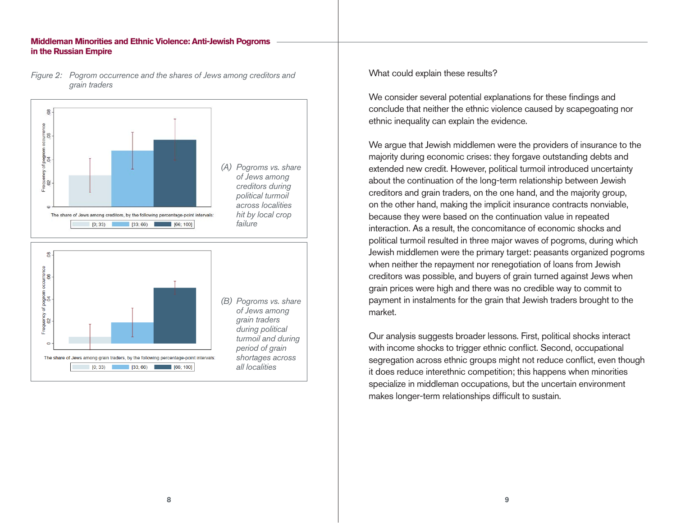#### **Middleman Minorities and Ethnic Violence: Anti-Jewish Pogroms in the Russian Empire**



*Figure 2: Pogrom occurrence and the shares of Jews among creditors and grain traders*

What could explain these results?

We consider several potential explanations for these findings and conclude that neither the ethnic violence caused by scapegoating nor ethnic inequality can explain the evidence.

We argue that Jewish middlemen were the providers of insurance to the majority during economic crises: they forgave outstanding debts and extended new credit. However, political turmoil introduced uncertainty about the continuation of the long-term relationship between Jewish creditors and grain traders, on the one hand, and the majority group, on the other hand, making the implicit insurance contracts nonviable, because they were based on the continuation value in repeated interaction. As a result, the concomitance of economic shocks and political turmoil resulted in three major waves of pogroms, during which Jewish middlemen were the primary target: peasants organized pogroms when neither the repayment nor renegotiation of loans from Jewish creditors was possible, and buyers of grain turned against Jews when grain prices were high and there was no credible way to commit to payment in instalments for the grain that Jewish traders brought to the market.

Our analysis suggests broader lessons. First, political shocks interact with income shocks to trigger ethnic conflict. Second, occupational segregation across ethnic groups might not reduce conflict, even though it does reduce interethnic competition; this happens when minorities specialize in middleman occupations, but the uncertain environment makes longer-term relationships difficult to sustain.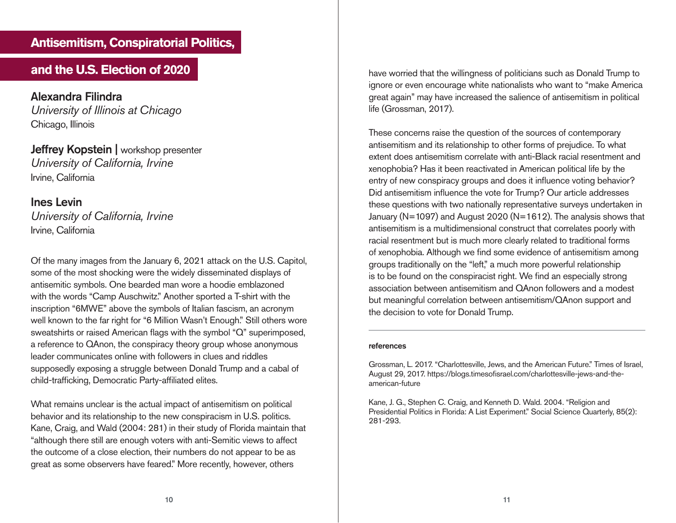## **Antisemitism, Conspiratorial Politics,**

Alexandra Filindra *University of Illinois at Chicago* Chicago, Illinois

Jeffrey Kopstein | workshop presenter *University of California, Irvine* Irvine, California

### Ines Levin

*University of California, Irvine* Irvine, California

Of the many images from the January 6, 2021 attack on the U.S. Capitol, some of the most shocking were the widely disseminated displays of antisemitic symbols. One bearded man wore a hoodie emblazoned with the words "Camp Auschwitz." Another sported a T-shirt with the inscription "6MWE" above the symbols of Italian fascism, an acronym well known to the far right for "6 Million Wasn't Enough." Still others wore sweatshirts or raised American flags with the symbol "Q" superimposed, a reference to QAnon, the conspiracy theory group whose anonymous leader communicates online with followers in clues and riddles supposedly exposing a struggle between Donald Trump and a cabal of child-trafficking, Democratic Party-affiliated elites.

What remains unclear is the actual impact of antisemitism on political behavior and its relationship to the new conspiracism in U.S. politics. Kane, Craig, and Wald (2004: 281) in their study of Florida maintain that "although there still are enough voters with anti-Semitic views to affect the outcome of a close election, their numbers do not appear to be as great as some observers have feared." More recently, however, others

**and the U.S. Election of 2020 have worried that the willingness of politicians such as Donald Trump to** ignore or even encourage white nationalists who want to "make America great again" may have increased the salience of antisemitism in political life (Grossman, 2017).

> These concerns raise the question of the sources of contemporary antisemitism and its relationship to other forms of prejudice. To what extent does antisemitism correlate with anti-Black racial resentment and xenophobia? Has it been reactivated in American political life by the entry of new conspiracy groups and does it influence voting behavior? Did antisemitism influence the vote for Trump? Our article addresses these questions with two nationally representative surveys undertaken in January (N=1097) and August 2020 (N=1612). The analysis shows that antisemitism is a multidimensional construct that correlates poorly with racial resentment but is much more clearly related to traditional forms of xenophobia. Although we find some evidence of antisemitism among groups traditionally on the "left," a much more powerful relationship is to be found on the conspiracist right. We find an especially strong association between antisemitism and QAnon followers and a modest but meaningful correlation between antisemitism/QAnon support and the decision to vote for Donald Trump.

#### references

Grossman, L. 2017. "Charlottesville, Jews, and the American Future." Times of Israel, August 29, 2017. https://blogs.timesofisrael.com/charlottesville-jews-and-theamerican-future

Kane, J. G., Stephen C. Craig, and Kenneth D. Wald. 2004. "Religion and Presidential Politics in Florida: A List Experiment." Social Science Quarterly, 85(2): 281-293.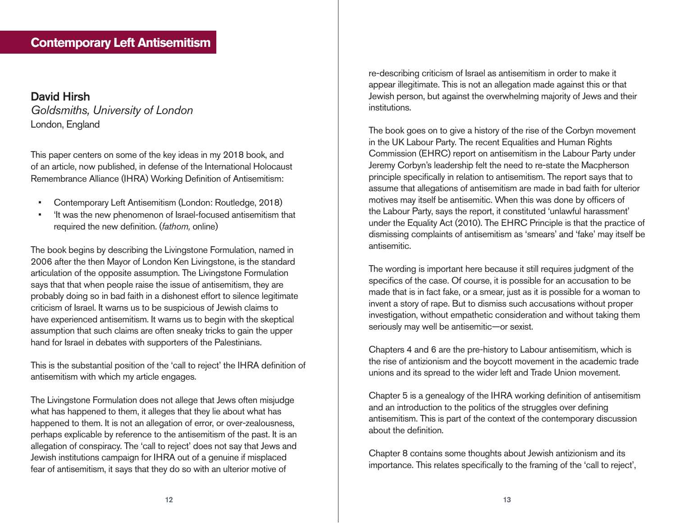# **Contemporary Left Antisemitism**

## David Hirsh *Goldsmiths, University of London* London, England

This paper centers on some of the key ideas in my 2018 book, and of an article, now published, in defense of the International Holocaust Remembrance Alliance (IHRA) Working Definition of Antisemitism:

- Contemporary Left Antisemitism (London: Routledge, 2018)
- 'It was the new phenomenon of Israel-focused antisemitism that required the new definition. (*fathom,* online)

The book begins by describing the Livingstone Formulation, named in 2006 after the then Mayor of London Ken Livingstone, is the standard articulation of the opposite assumption. The Livingstone Formulation says that that when people raise the issue of antisemitism, they are probably doing so in bad faith in a dishonest effort to silence legitimate criticism of Israel. It warns us to be suspicious of Jewish claims to have experienced antisemitism. It warns us to begin with the skeptical assumption that such claims are often sneaky tricks to gain the upper hand for Israel in debates with supporters of the Palestinians.

This is the substantial position of the 'call to reject' the IHRA definition of antisemitism with which my article engages.

The Livingstone Formulation does not allege that Jews often misjudge what has happened to them, it alleges that they lie about what has happened to them. It is not an allegation of error, or over-zealousness, perhaps explicable by reference to the antisemitism of the past. It is an allegation of conspiracy. The 'call to reject' does not say that Jews and Jewish institutions campaign for IHRA out of a genuine if misplaced fear of antisemitism, it says that they do so with an ulterior motive of

re-describing criticism of Israel as antisemitism in order to make it appear illegitimate. This is not an allegation made against this or that Jewish person, but against the overwhelming majority of Jews and their institutions.

The book goes on to give a history of the rise of the Corbyn movement in the UK Labour Party. The recent Equalities and Human Rights Commission (EHRC) report on antisemitism in the Labour Party under Jeremy Corbyn's leadership felt the need to re-state the Macpherson principle specifically in relation to antisemitism. The report says that to assume that allegations of antisemitism are made in bad faith for ulterior motives may itself be antisemitic. When this was done by officers of the Labour Party, says the report, it constituted 'unlawful harassment' under the Equality Act (2010). The EHRC Principle is that the practice of dismissing complaints of antisemitism as 'smears' and 'fake' may itself be antisemitic.

The wording is important here because it still requires judgment of the specifics of the case. Of course, it is possible for an accusation to be made that is in fact fake, or a smear, just as it is possible for a woman to invent a story of rape. But to dismiss such accusations without proper investigation, without empathetic consideration and without taking them seriously may well be antisemitic—or sexist.

Chapters 4 and 6 are the pre-history to Labour antisemitism, which is the rise of antizionism and the boycott movement in the academic trade unions and its spread to the wider left and Trade Union movement.

Chapter 5 is a genealogy of the IHRA working definition of antisemitism and an introduction to the politics of the struggles over defining antisemitism. This is part of the context of the contemporary discussion about the definition.

Chapter 8 contains some thoughts about Jewish antizionism and its importance. This relates specifically to the framing of the 'call to reject',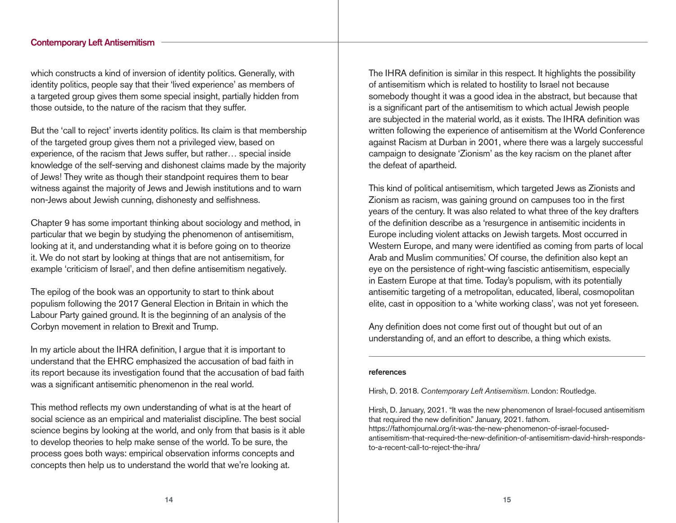#### Contemporary Left Antisemitism

which constructs a kind of inversion of identity politics. Generally, with identity politics, people say that their 'lived experience' as members of a targeted group gives them some special insight, partially hidden from those outside, to the nature of the racism that they suffer.

But the 'call to reject' inverts identity politics. Its claim is that membership of the targeted group gives them not a privileged view, based on experience, of the racism that Jews suffer, but rather… special inside knowledge of the self-serving and dishonest claims made by the majority of Jews! They write as though their standpoint requires them to bear witness against the majority of Jews and Jewish institutions and to warn non-Jews about Jewish cunning, dishonesty and selfishness.

Chapter 9 has some important thinking about sociology and method, in particular that we begin by studying the phenomenon of antisemitism, looking at it, and understanding what it is before going on to theorize it. We do not start by looking at things that are not antisemitism, for example 'criticism of Israel', and then define antisemitism negatively.

The epilog of the book was an opportunity to start to think about populism following the 2017 General Election in Britain in which the Labour Party gained ground. It is the beginning of an analysis of the Corbyn movement in relation to Brexit and Trump.

In my article about the IHRA definition, I argue that it is important to understand that the EHRC emphasized the accusation of bad faith in its report because its investigation found that the accusation of bad faith was a significant antisemitic phenomenon in the real world.

This method reflects my own understanding of what is at the heart of social science as an empirical and materialist discipline. The best social science begins by looking at the world, and only from that basis is it able to develop theories to help make sense of the world. To be sure, the process goes both ways: empirical observation informs concepts and concepts then help us to understand the world that we're looking at.

The IHRA definition is similar in this respect. It highlights the possibility of antisemitism which is related to hostility to Israel not because somebody thought it was a good idea in the abstract, but because that is a significant part of the antisemitism to which actual Jewish people are subjected in the material world, as it exists. The IHRA definition was written following the experience of antisemitism at the World Conference against Racism at Durban in 2001, where there was a largely successful campaign to designate 'Zionism' as the key racism on the planet after the defeat of apartheid.

This kind of political antisemitism, which targeted Jews as Zionists and Zionism as racism, was gaining ground on campuses too in the first years of the century. It was also related to what three of the key drafters of the definition describe as a 'resurgence in antisemitic incidents in Europe including violent attacks on Jewish targets. Most occurred in Western Europe, and many were identified as coming from parts of local Arab and Muslim communities. Of course, the definition also kept an eye on the persistence of right-wing fascistic antisemitism, especially in Eastern Europe at that time. Today's populism, with its potentially antisemitic targeting of a metropolitan, educated, liberal, cosmopolitan elite, cast in opposition to a 'white working class', was not yet foreseen.

Any definition does not come first out of thought but out of an understanding of, and an effort to describe, a thing which exists.

#### references

Hirsh, D. 2018. *Contemporary Left Antisemitism*. London: Routledge.

Hirsh, D. January, 2021. "It was the new phenomenon of Israel-focused antisemitism that required the new definition." January, 2021. fathom. https://fathomjournal.org/it-was-the-new-phenomenon-of-israel-focusedantisemitism-that-required-the-new-definition-of-antisemitism-david-hirsh-respondsto-a-recent-call-to-reject-the-ihra/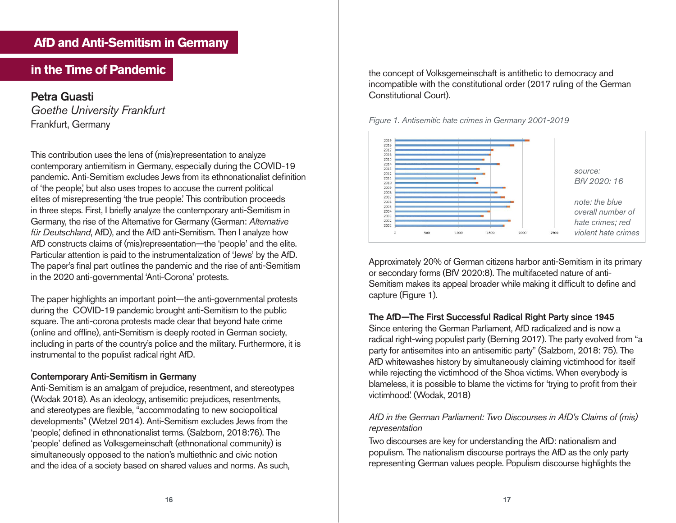## **AfD and Anti-Semitism in Germany**

# **in the Time of Pandemic**

Petra Guasti *Goethe University Frankfurt* Frankfurt, Germany

This contribution uses the lens of (mis)representation to analyze contemporary antiemitism in Germany, especially during the COVID-19 pandemic. Anti-Semitism excludes Jews from its ethnonationalist definition of 'the people,' but also uses tropes to accuse the current political elites of misrepresenting 'the true people.' This contribution proceeds in three steps. First, I briefly analyze the contemporary anti-Semitism in Germany, the rise of the Alternative for Germany (German: *Alternative für Deutschland*, AfD), and the AfD anti-Semitism. Then I analyze how AfD constructs claims of (mis)representation—the 'people' and the elite. Particular attention is paid to the instrumentalization of 'Jews' by the AfD. The paper's final part outlines the pandemic and the rise of anti-Semitism in the 2020 anti-governmental 'Anti-Corona' protests.

The paper highlights an important point—the anti-governmental protests during the COVID-19 pandemic brought anti-Semitism to the public square. The anti-corona protests made clear that beyond hate crime (online and offline), anti-Semitism is deeply rooted in German society, including in parts of the country's police and the military. Furthermore, it is instrumental to the populist radical right AfD.

#### Contemporary Anti-Semitism in Germany

Anti-Semitism is an amalgam of prejudice, resentment, and stereotypes (Wodak 2018). As an ideology, antisemitic prejudices, resentments, and stereotypes are flexible, "accommodating to new sociopolitical developments" (Wetzel 2014). Anti-Semitism excludes Jews from the 'people,' defined in ethnonationalist terms. (Salzborn, 2018:76). The 'people' defined as Volksgemeinschaft (ethnonational community) is simultaneously opposed to the nation's multiethnic and civic notion and the idea of a society based on shared values and norms. As such,

the concept of Volksgemeinschaft is antithetic to democracy and incompatible with the constitutional order (2017 ruling of the German Constitutional Court).





Approximately 20% of German citizens harbor anti-Semitism in its primary or secondary forms (BfV 2020:8). The multifaceted nature of anti-Semitism makes its appeal broader while making it difficult to define and capture (Figure 1).

#### The AfD—The First Successful Radical Right Party since 1945

Since entering the German Parliament, AfD radicalized and is now a radical right-wing populist party (Berning 2017). The party evolved from "a party for antisemites into an antisemitic party" (Salzborn, 2018: 75). The AfD whitewashes history by simultaneously claiming victimhood for itself while rejecting the victimhood of the Shoa victims. When everybody is blameless, it is possible to blame the victims for 'trying to profit from their victimhood.' (Wodak, 2018)

#### *AfD in the German Parliament: Two Discourses in AfD's Claims of (mis) representation*

Two discourses are key for understanding the AfD: nationalism and populism. The nationalism discourse portrays the AfD as the only party representing German values people. Populism discourse highlights the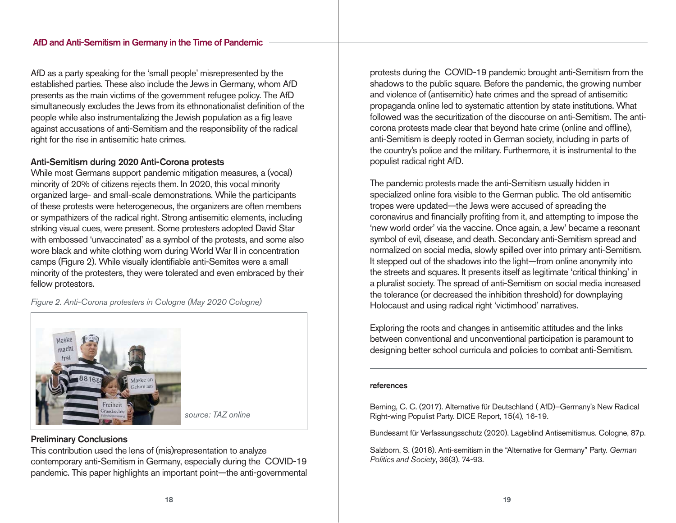#### AfD and Anti-Semitism in Germany in the Time of Pandemic

AfD as a party speaking for the 'small people' misrepresented by the established parties. These also include the Jews in Germany, whom AfD presents as the main victims of the government refugee policy. The AfD simultaneously excludes the Jews from its ethnonationalist definition of the people while also instrumentalizing the Jewish population as a fig leave against accusations of anti-Semitism and the responsibility of the radical right for the rise in antisemitic hate crimes.

#### Anti-Semitism during 2020 Anti-Corona protests

While most Germans support pandemic mitigation measures, a (vocal) minority of 20% of citizens rejects them. In 2020, this vocal minority organized large- and small-scale demonstrations. While the participants of these protests were heterogeneous, the organizers are often members or sympathizers of the radical right. Strong antisemitic elements, including striking visual cues, were present. Some protesters adopted David Star with embossed 'unvaccinated' as a symbol of the protests, and some also wore black and white clothing worn during World War II in concentration camps (Figure 2). While visually identifiable anti-Semites were a small minority of the protesters, they were tolerated and even embraced by their fellow protestors.

*Figure 2. Anti-Corona protesters in Cologne (May 2020 Cologne)*



#### Preliminary Conclusions

This contribution used the lens of (mis)representation to analyze contemporary anti-Semitism in Germany, especially during the COVID-19 pandemic. This paper highlights an important point—the anti-governmental protests during the COVID-19 pandemic brought anti-Semitism from the shadows to the public square. Before the pandemic, the growing number and violence of (antisemitic) hate crimes and the spread of antisemitic propaganda online led to systematic attention by state institutions. What followed was the securitization of the discourse on anti-Semitism. The anticorona protests made clear that beyond hate crime (online and offline), anti-Semitism is deeply rooted in German society, including in parts of the country's police and the military. Furthermore, it is instrumental to the populist radical right AfD.

The pandemic protests made the anti-Semitism usually hidden in specialized online fora visible to the German public. The old antisemitic tropes were updated—the Jews were accused of spreading the coronavirus and financially profiting from it, and attempting to impose the 'new world order' via the vaccine. Once again, a Jew' became a resonant symbol of evil, disease, and death. Secondary anti-Semitism spread and normalized on social media, slowly spilled over into primary anti-Semitism. It stepped out of the shadows into the light—from online anonymity into the streets and squares. It presents itself as legitimate 'critical thinking' in a pluralist society. The spread of anti-Semitism on social media increased the tolerance (or decreased the inhibition threshold) for downplaying Holocaust and using radical right 'victimhood' narratives.

Exploring the roots and changes in antisemitic attitudes and the links between conventional and unconventional participation is paramount to designing better school curricula and policies to combat anti-Semitism.

#### references

Berning, C. C. (2017). Alternative für Deutschland ( AfD)–Germany's New Radical Right-wing Populist Party. DICE Report, 15(4), 16-19.

Bundesamt für Verfassungsschutz (2020). Lageblind Antisemitismus. Cologne, 87p.

Salzborn, S. (2018). Anti-semitism in the "Alternative for Germany" Party. *German Politics and Society*, 36(3), 74-93.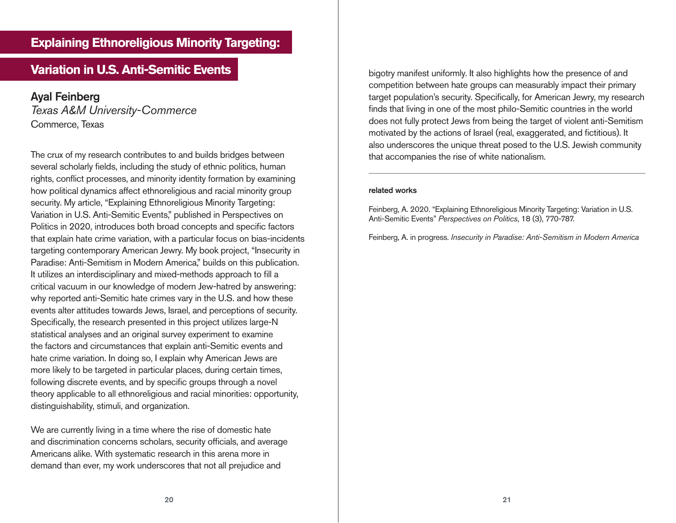# **Variation in U.S. Anti-Semitic Events bigotry manifest uniformly. It also highlights how the presence of and**

Ayal Feinberg *Texas A&M University-Commerce* Commerce, Texas

The crux of my research contributes to and builds bridges between several scholarly fields, including the study of ethnic politics, human rights, conflict processes, and minority identity formation by examining how political dynamics affect ethnoreligious and racial minority group security. My article, "Explaining Ethnoreligious Minority Targeting: Variation in U.S. Anti-Semitic Events," published in Perspectives on Politics in 2020, introduces both broad concepts and specific factors that explain hate crime variation, with a particular focus on bias-incidents targeting contemporary American Jewry. My book project, "Insecurity in Paradise: Anti-Semitism in Modern America," builds on this publication. It utilizes an interdisciplinary and mixed-methods approach to fill a critical vacuum in our knowledge of modern Jew-hatred by answering: why reported anti-Semitic hate crimes vary in the U.S. and how these events alter attitudes towards Jews, Israel, and perceptions of security. Specifically, the research presented in this project utilizes large-N statistical analyses and an original survey experiment to examine the factors and circumstances that explain anti-Semitic events and hate crime variation. In doing so, I explain why American Jews are more likely to be targeted in particular places, during certain times, following discrete events, and by specific groups through a novel theory applicable to all ethnoreligious and racial minorities: opportunity, distinguishability, stimuli, and organization.

We are currently living in a time where the rise of domestic hate and discrimination concerns scholars, security officials, and average Americans alike. With systematic research in this arena more in demand than ever, my work underscores that not all prejudice and

competition between hate groups can measurably impact their primary target population's security. Specifically, for American Jewry, my research finds that living in one of the most philo-Semitic countries in the world does not fully protect Jews from being the target of violent anti-Semitism motivated by the actions of Israel (real, exaggerated, and fictitious). It also underscores the unique threat posed to the U.S. Jewish community that accompanies the rise of white nationalism.

#### related works

Feinberg, A. 2020. "Explaining Ethnoreligious Minority Targeting: Variation in U.S. Anti-Semitic Events" *Perspectives on Politics*, 18 (3), 770-787.

Feinberg, A. in progress. *Insecurity in Paradise: Anti-Semitism in Modern America*